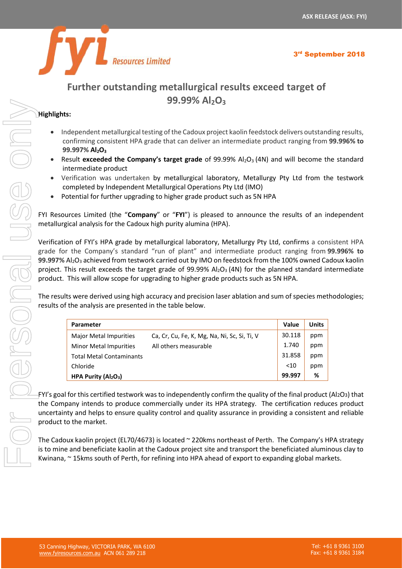

## **Further outstanding metallurgical results exceed target of 99.99% Al2O<sup>3</sup>**

#### **Highlights:**

- Independent metallurgical testing of the Cadoux project kaolin feedstock delivers outstanding results, confirming consistent HPA grade that can deliver an intermediate product ranging from **99.996% to 99.997% Al2O<sup>3</sup>**
- Result **exceeded the Company's target grade** of 99.99% Al<sub>2</sub>O<sub>3</sub> (4N) and will become the standard intermediate product
- Verification was undertaken by metallurgical laboratory, Metallurgy Pty Ltd from the testwork completed by Independent Metallurgical Operations Pty Ltd (IMO)
- Potential for further upgrading to higher grade product such as 5N HPA

| <b>33.33% Al2U3</b>                                                                                                                                                                                                                                                                                                                                                                                                                                               |              |              |  |  |  |  |
|-------------------------------------------------------------------------------------------------------------------------------------------------------------------------------------------------------------------------------------------------------------------------------------------------------------------------------------------------------------------------------------------------------------------------------------------------------------------|--------------|--------------|--|--|--|--|
| Highlights:                                                                                                                                                                                                                                                                                                                                                                                                                                                       |              |              |  |  |  |  |
| Independent metallurgical testing of the Cadoux project kaolin feedstock delivers outstanding results,<br>confirming consistent HPA grade that can deliver an intermediate product ranging from 99.996% to<br>99.997% Al <sub>2</sub> O <sub>3</sub>                                                                                                                                                                                                              |              |              |  |  |  |  |
| Result exceeded the Company's target grade of 99.99% $Al_2O_3$ (4N) and will become the standard<br>$\bullet$<br>intermediate product                                                                                                                                                                                                                                                                                                                             |              |              |  |  |  |  |
| Verification was undertaken by metallurgical laboratory, Metallurgy Pty Ltd from the testwork<br>completed by Independent Metallurgical Operations Pty Ltd (IMO)<br>Potential for further upgrading to higher grade product such as 5N HPA                                                                                                                                                                                                                        |              |              |  |  |  |  |
| FYI Resources Limited (the "Company" or "FYI") is pleased to announce the results of an independent<br>metallurgical analysis for the Cadoux high purity alumina (HPA).                                                                                                                                                                                                                                                                                           |              |              |  |  |  |  |
| Verification of FYI's HPA grade by metallurgical laboratory, Metallurgy Pty Ltd, confirms a consistent HPA<br>grade for the Company's standard "run of plant" and intermediate product ranging from 99.996% to<br>99.997% Al <sub>2</sub> O <sub>3</sub> achieved from testwork carried out by IMO on feedstock from the 100% owned Cadoux kaolin<br>project. This result exceeds the target grade of 99.99% $Al_2O_3$ (4N) for the planned standard intermediate |              |              |  |  |  |  |
| product. This will allow scope for upgrading to higher grade products such as 5N HPA.                                                                                                                                                                                                                                                                                                                                                                             |              |              |  |  |  |  |
| The results were derived using high accuracy and precision laser ablation and sum of species methodologies;<br>results of the analysis are presented in the table below.                                                                                                                                                                                                                                                                                          |              |              |  |  |  |  |
| Parameter                                                                                                                                                                                                                                                                                                                                                                                                                                                         | <b>Value</b> | <b>Units</b> |  |  |  |  |
| Major Metal Impurities<br>Ca, Cr, Cu, Fe, K, Mg, Na, Ni, Sc, Si, Ti, V                                                                                                                                                                                                                                                                                                                                                                                            | 30.118       | ppm          |  |  |  |  |
| All others measurable<br><b>Minor Metal Impurities</b>                                                                                                                                                                                                                                                                                                                                                                                                            | 1.740        | ppm          |  |  |  |  |
| <b>Total Metal Contaminants</b>                                                                                                                                                                                                                                                                                                                                                                                                                                   | 31.858       | ppm          |  |  |  |  |
| Chloride                                                                                                                                                                                                                                                                                                                                                                                                                                                          | $<10$        | ppm          |  |  |  |  |
| HPA Purity (Al2O3)                                                                                                                                                                                                                                                                                                                                                                                                                                                | 99.997       | %            |  |  |  |  |
| FYI's goal for this certified testwork was to independently confirm the quality of the final product (Al2O3) that                                                                                                                                                                                                                                                                                                                                                 |              |              |  |  |  |  |
| the Company intends to produce commercially under its HPA strategy. The certification reduces product<br>uncertainty and helps to ensure quality control and quality assurance in providing a consistent and reliable<br>product to the market.                                                                                                                                                                                                                   |              |              |  |  |  |  |
| The Cadoux kaolin project (EL70/4673) is located $\sim$ 220kms northeast of Perth. The Company's HPA strategy<br>is to mine and beneficiate kaolin at the Cadoux project site and transport the beneficiated aluminous clay to<br>Kwinana, ~ 15kms south of Perth, for refining into HPA ahead of export to expanding global markets.                                                                                                                             |              |              |  |  |  |  |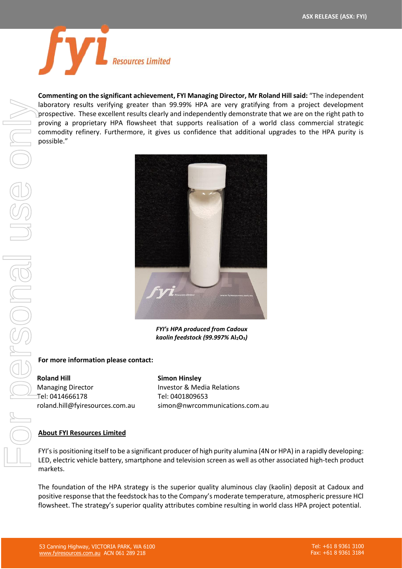

**Commenting on the significant achievement, FYI Managing Director, Mr Roland Hill said:** "The independent laboratory results verifying greater than 99.99% HPA are very gratifying from a project development prospective. These excellent results clearly and independently demonstrate that we are on the right path to proving a proprietary HPA flowsheet that supports realisation of a world class commercial strategic commodity refinery. Furthermore, it gives us confidence that additional upgrades to the HPA purity is possible."



*FYI's HPA produced from Cadoux kaolin feedstock (99.997%* **Al2O3***)*

#### **For more information please contact:**

**Roland Hill** Managing Director Tel: 0414666178 roland.hill@fyiresources.com.au

**Simon Hinsley** Investor & Media Relations Tel: 0401809653 simon@nwrcommunications.com.au

#### **About FYI Resources Limited**

FYI's is positioning itself to be a significant producer of high purity alumina (4N or HPA) in a rapidly developing: LED, electric vehicle battery, smartphone and television screen as well as other associated high-tech product markets.

The foundation of the HPA strategy is the superior quality aluminous clay (kaolin) deposit at Cadoux and positive response that the feedstock has to the Company's moderate temperature, atmospheric pressure HCl flowsheet. The strategy's superior quality attributes combine resulting in world class HPA project potential.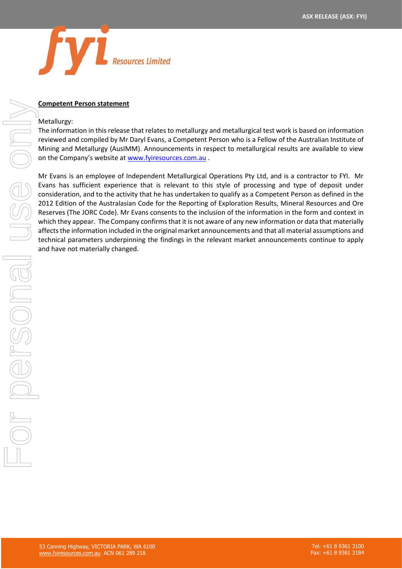

#### **Competent Person statement**

#### Metallurgy:

The information in this release that relates to metallurgy and metallurgical test work is based on information reviewed and compiled by Mr Daryl Evans, a Competent Person who is a Fellow of the Australian Institute of Mining and Metallurgy (AusIMM). Announcements in respect to metallurgical results are available to view on the Company's website at [www.fyiresources.com.au](http://www.fyiresources.com.au/).

Mr Evans is an employee of Independent Metallurgical Operations Pty Ltd, and is a contractor to FYI. Mr Evans has sufficient experience that is relevant to this style of processing and type of deposit under consideration, and to the activity that he has undertaken to qualify as a Competent Person as defined in the 2012 Edition of the Australasian Code for the Reporting of Exploration Results, Mineral Resources and Ore Reserves (The JORC Code). Mr Evans consents to the inclusion of the information in the form and context in which they appear. The Company confirms that it is not aware of any new information or data that materially affects the information included in the original market announcements and that all material assumptions and technical parameters underpinning the findings in the relevant market announcements continue to apply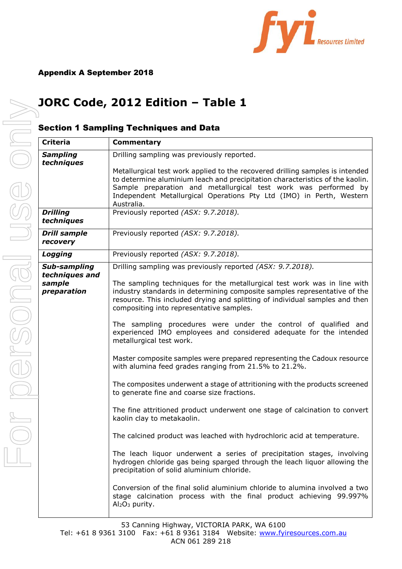

# **JORC Code, 2012 Edition – Table 1**

### Section 1 Sampling Techniques and Data

| <b>Criteria</b>                                         | Commentary                                                                                                                                                                                                                                                                                                                                                                                                                                                                                                                                                                                                                                                                                                                                                                                                                                                                                                                                                                                                                                                                                                                                                                                                                                                                                                                                                                      |
|---------------------------------------------------------|---------------------------------------------------------------------------------------------------------------------------------------------------------------------------------------------------------------------------------------------------------------------------------------------------------------------------------------------------------------------------------------------------------------------------------------------------------------------------------------------------------------------------------------------------------------------------------------------------------------------------------------------------------------------------------------------------------------------------------------------------------------------------------------------------------------------------------------------------------------------------------------------------------------------------------------------------------------------------------------------------------------------------------------------------------------------------------------------------------------------------------------------------------------------------------------------------------------------------------------------------------------------------------------------------------------------------------------------------------------------------------|
| <b>Sampling</b><br>techniques                           | Drilling sampling was previously reported.<br>Metallurgical test work applied to the recovered drilling samples is intended<br>to determine aluminium leach and precipitation characteristics of the kaolin.<br>Sample preparation and metallurgical test work was performed by<br>Independent Metallurgical Operations Pty Ltd (IMO) in Perth, Western<br>Australia.                                                                                                                                                                                                                                                                                                                                                                                                                                                                                                                                                                                                                                                                                                                                                                                                                                                                                                                                                                                                           |
| <b>Drilling</b><br>techniques                           | Previously reported (ASX: 9.7.2018).                                                                                                                                                                                                                                                                                                                                                                                                                                                                                                                                                                                                                                                                                                                                                                                                                                                                                                                                                                                                                                                                                                                                                                                                                                                                                                                                            |
| <b>Drill sample</b><br>recovery                         | Previously reported (ASX: 9.7.2018).                                                                                                                                                                                                                                                                                                                                                                                                                                                                                                                                                                                                                                                                                                                                                                                                                                                                                                                                                                                                                                                                                                                                                                                                                                                                                                                                            |
| Logging                                                 | Previously reported (ASX: 9.7.2018).                                                                                                                                                                                                                                                                                                                                                                                                                                                                                                                                                                                                                                                                                                                                                                                                                                                                                                                                                                                                                                                                                                                                                                                                                                                                                                                                            |
| Sub-sampling<br>techniques and<br>sample<br>preparation | Drilling sampling was previously reported (ASX: 9.7.2018).<br>The sampling techniques for the metallurgical test work was in line with<br>industry standards in determining composite samples representative of the<br>resource. This included drying and splitting of individual samples and then<br>compositing into representative samples.<br>The sampling procedures were under the control of qualified and<br>experienced IMO employees and considered adequate for the intended<br>metallurgical test work.<br>Master composite samples were prepared representing the Cadoux resource<br>with alumina feed grades ranging from 21.5% to 21.2%.<br>The composites underwent a stage of attritioning with the products screened<br>to generate fine and coarse size fractions.<br>The fine attritioned product underwent one stage of calcination to convert<br>kaolin clay to metakaolin.<br>The calcined product was leached with hydrochloric acid at temperature.<br>The leach liquor underwent a series of precipitation stages, involving<br>hydrogen chloride gas being sparged through the leach liquor allowing the<br>precipitation of solid aluminium chloride.<br>Conversion of the final solid aluminium chloride to alumina involved a two<br>stage calcination process with the final product achieving 99.997%<br>Al <sub>2</sub> O <sub>3</sub> purity. |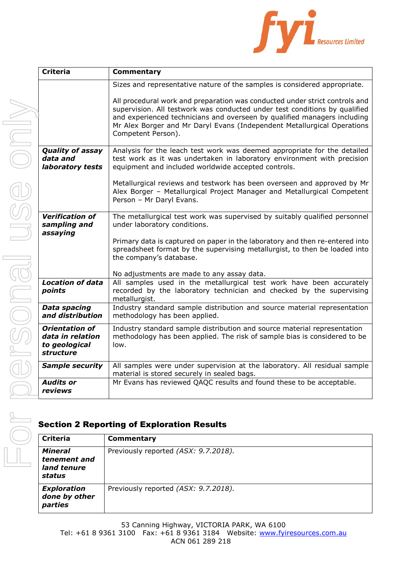

| <b>Criteria</b>                                                                | Commentary                                                                                                                                                                                                                                                                                                                             |
|--------------------------------------------------------------------------------|----------------------------------------------------------------------------------------------------------------------------------------------------------------------------------------------------------------------------------------------------------------------------------------------------------------------------------------|
|                                                                                | Sizes and representative nature of the samples is considered appropriate.                                                                                                                                                                                                                                                              |
|                                                                                | All procedural work and preparation was conducted under strict controls and<br>supervision. All testwork was conducted under test conditions by qualified<br>and experienced technicians and overseen by qualified managers including<br>Mr Alex Borger and Mr Daryl Evans (Independent Metallurgical Operations<br>Competent Person). |
| <b>Quality of assay</b><br>data and<br>laboratory tests                        | Analysis for the leach test work was deemed appropriate for the detailed<br>test work as it was undertaken in laboratory environment with precision<br>equipment and included worldwide accepted controls.                                                                                                                             |
|                                                                                | Metallurgical reviews and testwork has been overseen and approved by Mr<br>Alex Borger - Metallurgical Project Manager and Metallurgical Competent<br>Person - Mr Daryl Evans.                                                                                                                                                         |
| <b>Verification of</b><br>sampling and<br>assaying                             | The metallurgical test work was supervised by suitably qualified personnel<br>under laboratory conditions.                                                                                                                                                                                                                             |
|                                                                                | Primary data is captured on paper in the laboratory and then re-entered into<br>spreadsheet format by the supervising metallurgist, to then be loaded into<br>the company's database.                                                                                                                                                  |
|                                                                                | No adjustments are made to any assay data.                                                                                                                                                                                                                                                                                             |
| <b>Location of data</b><br>points                                              | All samples used in the metallurgical test work have been accurately<br>recorded by the laboratory technician and checked by the supervising<br>metallurgist.                                                                                                                                                                          |
| <b>Data spacing</b><br>and distribution                                        | Industry standard sample distribution and source material representation<br>methodology has been applied.                                                                                                                                                                                                                              |
| <b>Orientation of</b><br>data in relation<br>to geological<br><b>structure</b> | Industry standard sample distribution and source material representation<br>methodology has been applied. The risk of sample bias is considered to be<br>low.                                                                                                                                                                          |
| <b>Sample security</b>                                                         | All samples were under supervision at the laboratory. All residual sample<br>material is stored securely in sealed bags.                                                                                                                                                                                                               |
| <b>Audits or</b><br>reviews                                                    | Mr Evans has reviewed QAQC results and found these to be acceptable.                                                                                                                                                                                                                                                                   |

## Section 2 Reporting of Exploration Results

| <b>Criteria</b>                                         | <b>Commentary</b>                    |
|---------------------------------------------------------|--------------------------------------|
| <b>Mineral</b><br>tenement and<br>land tenure<br>status | Previously reported (ASX: 9.7.2018). |
| <b>Exploration</b><br>done by other<br>parties          | Previously reported (ASX: 9.7.2018). |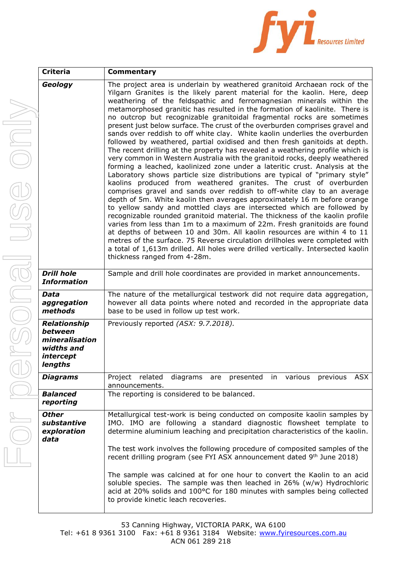

| <b>Criteria</b>                                                                        | <b>Commentary</b>                                                                                                                                                                                                                                                                                                                                                                                                                                                                                                                                                                                                                                                                                                                                                                                                                                                                                                                                                                                                                                                                                                                                                                                                                                                                                                                                                                                                                                                                                                                                                                                                                                                                                                      |  |  |
|----------------------------------------------------------------------------------------|------------------------------------------------------------------------------------------------------------------------------------------------------------------------------------------------------------------------------------------------------------------------------------------------------------------------------------------------------------------------------------------------------------------------------------------------------------------------------------------------------------------------------------------------------------------------------------------------------------------------------------------------------------------------------------------------------------------------------------------------------------------------------------------------------------------------------------------------------------------------------------------------------------------------------------------------------------------------------------------------------------------------------------------------------------------------------------------------------------------------------------------------------------------------------------------------------------------------------------------------------------------------------------------------------------------------------------------------------------------------------------------------------------------------------------------------------------------------------------------------------------------------------------------------------------------------------------------------------------------------------------------------------------------------------------------------------------------------|--|--|
| Geology                                                                                | The project area is underlain by weathered granitoid Archaean rock of the<br>Yilgarn Granites is the likely parent material for the kaolin. Here, deep<br>weathering of the feldspathic and ferromagnesian minerals within the<br>metamorphosed granitic has resulted in the formation of kaolinite. There is<br>no outcrop but recognizable granitoidal fragmental rocks are sometimes<br>present just below surface. The crust of the overburden comprises gravel and<br>sands over reddish to off white clay. White kaolin underlies the overburden<br>followed by weathered, partial oxidised and then fresh ganitoids at depth.<br>The recent drilling at the property has revealed a weathering profile which is<br>very common in Western Australia with the granitoid rocks, deeply weathered<br>forming a leached, kaolinized zone under a lateritic crust. Analysis at the<br>Laboratory shows particle size distributions are typical of "primary style"<br>kaolins produced from weathered granites. The crust of overburden<br>comprises gravel and sands over reddish to off-white clay to an average<br>depth of 5m. White kaolin then averages approximately 16 m before orange<br>to yellow sandy and mottled clays are intersected which are followed by<br>recognizable rounded granitoid material. The thickness of the kaolin profile<br>varies from less than 1m to a maximum of 22m. Fresh granitoids are found<br>at depths of between 10 and 30m. All kaolin resources are within 4 to 11<br>metres of the surface. 75 Reverse circulation drillholes were completed with<br>a total of 1,613m drilled. All holes were drilled vertically. Intersected kaolin<br>thickness ranged from 4-28m. |  |  |
| <b>Drill hole</b><br><b>Information</b>                                                | Sample and drill hole coordinates are provided in market announcements.                                                                                                                                                                                                                                                                                                                                                                                                                                                                                                                                                                                                                                                                                                                                                                                                                                                                                                                                                                                                                                                                                                                                                                                                                                                                                                                                                                                                                                                                                                                                                                                                                                                |  |  |
| <b>Data</b><br>aggregation<br>methods                                                  | The nature of the metallurgical testwork did not require data aggregation,<br>however all data points where noted and recorded in the appropriate data<br>base to be used in follow up test work.                                                                                                                                                                                                                                                                                                                                                                                                                                                                                                                                                                                                                                                                                                                                                                                                                                                                                                                                                                                                                                                                                                                                                                                                                                                                                                                                                                                                                                                                                                                      |  |  |
| <b>Relationship</b><br>between<br>mineralisation<br>widths and<br>intercept<br>lengths | Previously reported (ASX: 9.7.2018).                                                                                                                                                                                                                                                                                                                                                                                                                                                                                                                                                                                                                                                                                                                                                                                                                                                                                                                                                                                                                                                                                                                                                                                                                                                                                                                                                                                                                                                                                                                                                                                                                                                                                   |  |  |
| <b>Diagrams</b><br><b>Balanced</b>                                                     | <b>ASX</b><br>Project related<br>diagrams<br>presented<br>are<br>various<br>previous<br>in.<br>announcements.<br>The reporting is considered to be balanced.                                                                                                                                                                                                                                                                                                                                                                                                                                                                                                                                                                                                                                                                                                                                                                                                                                                                                                                                                                                                                                                                                                                                                                                                                                                                                                                                                                                                                                                                                                                                                           |  |  |
| reporting                                                                              |                                                                                                                                                                                                                                                                                                                                                                                                                                                                                                                                                                                                                                                                                                                                                                                                                                                                                                                                                                                                                                                                                                                                                                                                                                                                                                                                                                                                                                                                                                                                                                                                                                                                                                                        |  |  |
| <b>Other</b><br>substantive<br>exploration<br>data                                     | Metallurgical test-work is being conducted on composite kaolin samples by<br>IMO. IMO are following a standard diagnostic flowsheet template to<br>determine aluminium leaching and precipitation characteristics of the kaolin.<br>The test work involves the following procedure of composited samples of the<br>recent drilling program (see FYI ASX announcement dated 9th June 2018)<br>The sample was calcined at for one hour to convert the Kaolin to an acid<br>soluble species. The sample was then leached in 26% (w/w) Hydrochloric<br>acid at 20% solids and 100°C for 180 minutes with samples being collected                                                                                                                                                                                                                                                                                                                                                                                                                                                                                                                                                                                                                                                                                                                                                                                                                                                                                                                                                                                                                                                                                           |  |  |
|                                                                                        | to provide kinetic leach recoveries.                                                                                                                                                                                                                                                                                                                                                                                                                                                                                                                                                                                                                                                                                                                                                                                                                                                                                                                                                                                                                                                                                                                                                                                                                                                                                                                                                                                                                                                                                                                                                                                                                                                                                   |  |  |